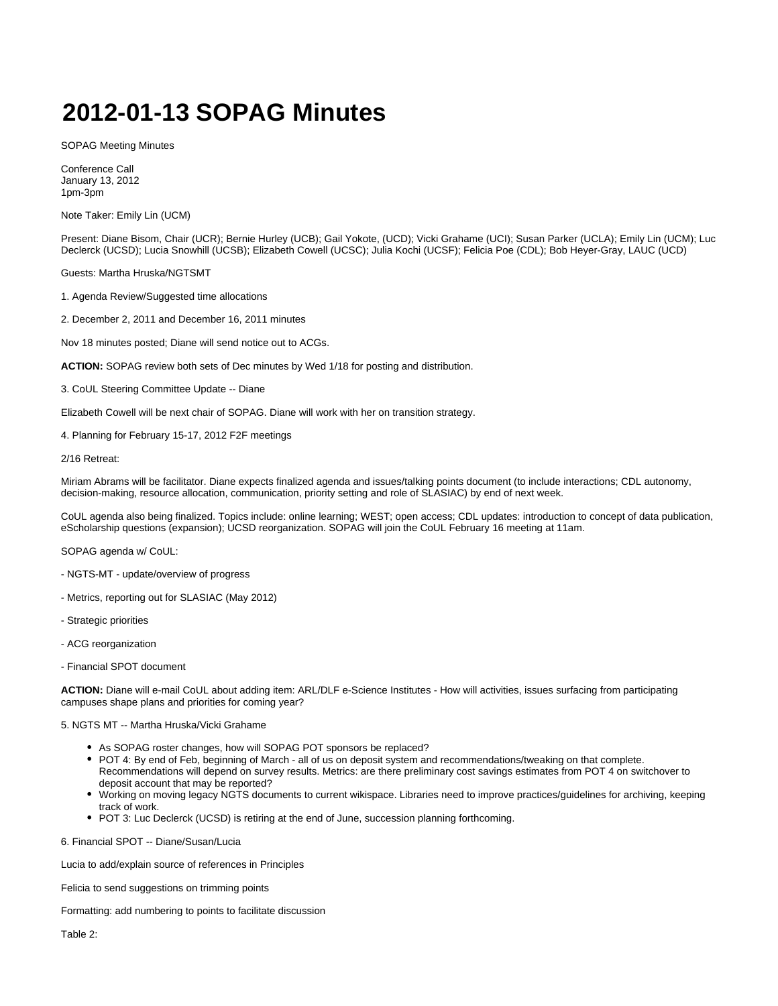## **2012-01-13 SOPAG Minutes**

SOPAG Meeting Minutes

Conference Call January 13, 2012 1pm-3pm

Note Taker: Emily Lin (UCM)

Present: Diane Bisom, Chair (UCR); Bernie Hurley (UCB); Gail Yokote, (UCD); Vicki Grahame (UCI); Susan Parker (UCLA); Emily Lin (UCM); Luc Declerck (UCSD); Lucia Snowhill (UCSB); Elizabeth Cowell (UCSC); Julia Kochi (UCSF); Felicia Poe (CDL); Bob Heyer-Gray, LAUC (UCD)

Guests: Martha Hruska/NGTSMT

1. Agenda Review/Suggested time allocations

2. December 2, 2011 and December 16, 2011 minutes

Nov 18 minutes posted; Diane will send notice out to ACGs.

**ACTION:** SOPAG review both sets of Dec minutes by Wed 1/18 for posting and distribution.

3. CoUL Steering Committee Update -- Diane

Elizabeth Cowell will be next chair of SOPAG. Diane will work with her on transition strategy.

4. Planning for February 15-17, 2012 F2F meetings

2/16 Retreat:

Miriam Abrams will be facilitator. Diane expects finalized agenda and issues/talking points document (to include interactions; CDL autonomy, decision-making, resource allocation, communication, priority setting and role of SLASIAC) by end of next week.

CoUL agenda also being finalized. Topics include: online learning; WEST; open access; CDL updates: introduction to concept of data publication, eScholarship questions (expansion); UCSD reorganization. SOPAG will join the CoUL February 16 meeting at 11am.

SOPAG agenda w/ CoUL:

- NGTS-MT update/overview of progress
- Metrics, reporting out for SLASIAC (May 2012)
- Strategic priorities
- ACG reorganization
- Financial SPOT document

**ACTION:** Diane will e-mail CoUL about adding item: ARL/DLF e-Science Institutes - How will activities, issues surfacing from participating campuses shape plans and priorities for coming year?

5. NGTS MT -- Martha Hruska/Vicki Grahame

- As SOPAG roster changes, how will SOPAG POT sponsors be replaced?
- POT 4: By end of Feb, beginning of March all of us on deposit system and recommendations/tweaking on that complete. Recommendations will depend on survey results. Metrics: are there preliminary cost savings estimates from POT 4 on switchover to deposit account that may be reported?
- Working on moving legacy NGTS documents to current wikispace. Libraries need to improve practices/guidelines for archiving, keeping track of work.
- POT 3: Luc Declerck (UCSD) is retiring at the end of June, succession planning forthcoming.

6. Financial SPOT -- Diane/Susan/Lucia

Lucia to add/explain source of references in Principles

Felicia to send suggestions on trimming points

Formatting: add numbering to points to facilitate discussion

Table 2: